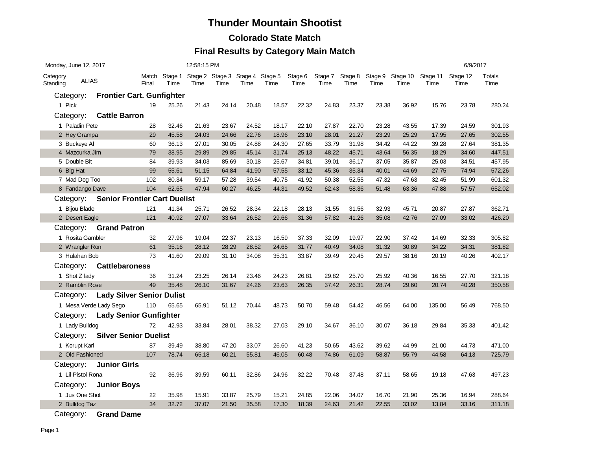#### **Colorado State Match**

### **Final Results by Category Main Match**

| Monday, June 12, 2017                |                                     |       | 12:58:15 PM                                           |       |       |       |       |                 |                 |                 |                 |                  | 6/9/2017         |                  |                |
|--------------------------------------|-------------------------------------|-------|-------------------------------------------------------|-------|-------|-------|-------|-----------------|-----------------|-----------------|-----------------|------------------|------------------|------------------|----------------|
| Category<br><b>ALIAS</b><br>Standing |                                     | Final | Match Stage 1 Stage 2 Stage 3 Stage 4 Stage 5<br>Time | Time  | Time  | Time  | Time  | Stage 6<br>Time | Stage 7<br>Time | Stage 8<br>Time | Stage 9<br>Time | Stage 10<br>Time | Stage 11<br>Time | Stage 12<br>Time | Totals<br>Time |
| Category:                            | <b>Frontier Cart. Gunfighter</b>    |       |                                                       |       |       |       |       |                 |                 |                 |                 |                  |                  |                  |                |
| 1 Pick                               |                                     | 19    | 25.26                                                 | 21.43 | 24.14 | 20.48 | 18.57 | 22.32           | 24.83           | 23.37           | 23.38           | 36.92            | 15.76            | 23.78            | 280.24         |
| Category:                            | <b>Cattle Barron</b>                |       |                                                       |       |       |       |       |                 |                 |                 |                 |                  |                  |                  |                |
| 1 Paladin Pete                       |                                     | 28    | 32.46                                                 | 21.63 | 23.67 | 24.52 | 18.17 | 22.10           | 27.87           | 22.70           | 23.28           | 43.55            | 17.39            | 24.59            | 301.93         |
| 2 Hey Grampa                         |                                     | 29    | 45.58                                                 | 24.03 | 24.66 | 22.76 | 18.96 | 23.10           | 28.01           | 21.27           | 23.29           | 25.29            | 17.95            | 27.65            | 302.55         |
| 3 Buckeye Al                         |                                     | 60    | 36.13                                                 | 27.01 | 30.05 | 24.88 | 24.30 | 27.65           | 33.79           | 31.98           | 34.42           | 44.22            | 39.28            | 27.64            | 381.35         |
| 4 Mazourka Jim                       |                                     | 79    | 38.95                                                 | 29.89 | 29.85 | 45.14 | 31.74 | 25.13           | 48.22           | 45.71           | 43.64           | 56.35            | 18.29            | 34.60            | 447.51         |
| 5 Double Bit                         |                                     | 84    | 39.93                                                 | 34.03 | 85.69 | 30.18 | 25.67 | 34.81           | 39.01           | 36.17           | 37.05           | 35.87            | 25.03            | 34.51            | 457.95         |
| 6 Big Hat                            |                                     | 99    | 55.61                                                 | 51.15 | 64.84 | 41.90 | 57.55 | 33.12           | 45.36           | 35.34           | 40.01           | 44.69            | 27.75            | 74.94            | 572.26         |
| 7 Mad Dog Too                        |                                     | 102   | 80.34                                                 | 59.17 | 57.28 | 39.54 | 40.75 | 41.92           | 50.38           | 52.55           | 47.32           | 47.63            | 32.45            | 51.99            | 601.32         |
| 8 Fandango Dave                      |                                     | 104   | 62.65                                                 | 47.94 | 60.27 | 46.25 | 44.31 | 49.52           | 62.43           | 58.36           | 51.48           | 63.36            | 47.88            | 57.57            | 652.02         |
| Category:                            | <b>Senior Frontier Cart Duelist</b> |       |                                                       |       |       |       |       |                 |                 |                 |                 |                  |                  |                  |                |
| 1 Bijou Blade                        |                                     | 121   | 41.34                                                 | 25.71 | 26.52 | 28.34 | 22.18 | 28.13           | 31.55           | 31.56           | 32.93           | 45.71            | 20.87            | 27.87            | 362.71         |
| 2 Desert Eagle                       |                                     | 121   | 40.92                                                 | 27.07 | 33.64 | 26.52 | 29.66 | 31.36           | 57.82           | 41.26           | 35.08           | 42.76            | 27.09            | 33.02            | 426.20         |
| Category:                            | <b>Grand Patron</b>                 |       |                                                       |       |       |       |       |                 |                 |                 |                 |                  |                  |                  |                |
| 1 Rosita Gambler                     |                                     | 32    | 27.96                                                 | 19.04 | 22.37 | 23.13 | 16.59 | 37.33           | 32.09           | 19.97           | 22.90           | 37.42            | 14.69            | 32.33            | 305.82         |
| 2 Wrangler Ron                       |                                     | 61    | 35.16                                                 | 28.12 | 28.29 | 28.52 | 24.65 | 31.77           | 40.49           | 34.08           | 31.32           | 30.89            | 34.22            | 34.31            | 381.82         |
| 3 Hulahan Bob                        |                                     | 73    | 41.60                                                 | 29.09 | 31.10 | 34.08 | 35.31 | 33.87           | 39.49           | 29.45           | 29.57           | 38.16            | 20.19            | 40.26            | 402.17         |
| Category:                            | <b>Cattlebaroness</b>               |       |                                                       |       |       |       |       |                 |                 |                 |                 |                  |                  |                  |                |
| 1 Shot Z lady                        |                                     | 36    | 31.24                                                 | 23.25 | 26.14 | 23.46 | 24.23 | 26.81           | 29.82           | 25.70           | 25.92           | 40.36            | 16.55            | 27.70            | 321.18         |
| 2 Ramblin Rose                       |                                     | 49    | 35.48                                                 | 26.10 | 31.67 | 24.26 | 23.63 | 26.35           | 37.42           | 26.31           | 28.74           | 29.60            | 20.74            | 40.28            | 350.58         |
|                                      | Category: Lady Silver Senior Dulist |       |                                                       |       |       |       |       |                 |                 |                 |                 |                  |                  |                  |                |
|                                      | 1 Mesa Verde Lady Sego              | 110   | 65.65                                                 | 65.91 | 51.12 | 70.44 | 48.73 | 50.70           | 59.48           | 54.42           | 46.56           | 64.00            | 135.00           | 56.49            | 768.50         |
| Category:                            | <b>Lady Senior Gunfighter</b>       |       |                                                       |       |       |       |       |                 |                 |                 |                 |                  |                  |                  |                |
| 1 Lady Bulldog                       |                                     | 72    | 42.93                                                 | 33.84 | 28.01 | 38.32 | 27.03 | 29.10           | 34.67           | 36.10           | 30.07           | 36.18            | 29.84            | 35.33            | 401.42         |
| Category:                            | <b>Silver Senior Duelist</b>        |       |                                                       |       |       |       |       |                 |                 |                 |                 |                  |                  |                  |                |
| 1 Korupt Karl                        |                                     | 87    | 39.49                                                 | 38.80 | 47.20 | 33.07 | 26.60 | 41.23           | 50.65           | 43.62           | 39.62           | 44.99            | 21.00            | 44.73            | 471.00         |
| 2 Old Fashioned                      |                                     | 107   | 78.74                                                 | 65.18 | 60.21 | 55.81 | 46.05 | 60.48           | 74.86           | 61.09           | 58.87           | 55.79            | 44.58            | 64.13            | 725.79         |
| Category:                            | <b>Junior Girls</b>                 |       |                                                       |       |       |       |       |                 |                 |                 |                 |                  |                  |                  |                |
| 1 Lil Pistol Rona                    |                                     | 92    | 36.96                                                 | 39.59 | 60.11 | 32.86 | 24.96 | 32.22           | 70.48           | 37.48           | 37.11           | 58.65            | 19.18            | 47.63            | 497.23         |
| Category:                            | <b>Junior Boys</b>                  |       |                                                       |       |       |       |       |                 |                 |                 |                 |                  |                  |                  |                |
| 1 Jus One Shot                       |                                     | 22    | 35.98                                                 | 15.91 | 33.87 | 25.79 | 15.21 | 24.85           | 22.06           | 34.07           | 16.70           | 21.90            | 25.36            | 16.94            | 288.64         |
| 2 Bulldog Taz                        |                                     | 34    | 32.72                                                 | 37.07 | 21.50 | 35.58 | 17.30 | 18.39           | 24.63           | 21.42           | 22.55           | 33.02            | 13.84            | 33.16            | 311.18         |
|                                      |                                     |       |                                                       |       |       |       |       |                 |                 |                 |                 |                  |                  |                  |                |

Category: **Grand Dame**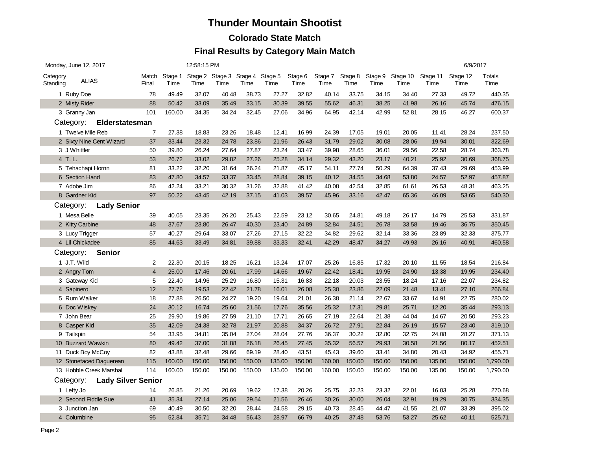#### **Colorado State Match**

|                                        | Monday, June 12, 2017 |                          |                |                 | 12:58:15 PM |                                         |        |        |                 |                 |                 |                 |                  |                  | 6/9/2017         |                |
|----------------------------------------|-----------------------|--------------------------|----------------|-----------------|-------------|-----------------------------------------|--------|--------|-----------------|-----------------|-----------------|-----------------|------------------|------------------|------------------|----------------|
| Category<br>Standing                   | <b>ALIAS</b>          |                          | Match<br>Final | Stage 1<br>Time | Time        | Stage 2 Stage 3 Stage 4 Stage 5<br>Time | Time   | Time   | Stage 6<br>Time | Stage 7<br>Time | Stage 8<br>Time | Stage 9<br>Time | Stage 10<br>Time | Stage 11<br>Time | Stage 12<br>Time | Totals<br>Time |
|                                        | 1 Ruby Doe            |                          | 78             | 49.49           | 32.07       | 40.48                                   | 38.73  | 27.27  | 32.82           | 40.14           | 33.75           | 34.15           | 34.40            | 27.33            | 49.72            | 440.35         |
|                                        | 2 Misty Rider         |                          | 88             | 50.42           | 33.09       | 35.49                                   | 33.15  | 30.39  | 39.55           | 55.62           | 46.31           | 38.25           | 41.98            | 26.16            | 45.74            | 476.15         |
|                                        | 3 Granny Jan          |                          | 101            | 160.00          | 34.35       | 34.24                                   | 32.45  | 27.06  | 34.96           | 64.95           | 42.14           | 42.99           | 52.81            | 28.15            | 46.27            | 600.37         |
|                                        | Category:             | Elderstatesman           |                |                 |             |                                         |        |        |                 |                 |                 |                 |                  |                  |                  |                |
|                                        | 1 Twelve Mile Reb     |                          | 7              | 27.38           | 18.83       | 23.26                                   | 18.48  | 12.41  | 16.99           | 24.39           | 17.05           | 19.01           | 20.05            | 11.41            | 28.24            | 237.50         |
|                                        |                       | 2 Sixty Nine Cent Wizard | 37             | 33.44           | 23.32       | 24.78                                   | 23.86  | 21.96  | 26.43           | 31.79           | 29.02           | 30.08           | 28.06            | 19.94            | 30.01            | 322.69         |
|                                        | 3 J Whittler          |                          | 50             | 39.80           | 26.24       | 27.64                                   | 27.87  | 23.24  | 33.47           | 39.98           | 28.65           | 36.01           | 29.56            | 22.58            | 28.74            | 363.78         |
| 4 T.L.                                 |                       |                          | 53             | 26.72           | 33.02       | 29.82                                   | 27.26  | 25.28  | 34.14           | 29.32           | 43.20           | 23.17           | 40.21            | 25.92            | 30.69            | 368.75         |
|                                        | 5 Tehachapi Hornn     |                          | 81             | 33.22           | 32.20       | 31.64                                   | 26.24  | 21.87  | 45.17           | 54.11           | 27.74           | 50.29           | 64.39            | 37.43            | 29.69            | 453.99         |
|                                        | 6 Section Hand        |                          | 83             | 47.80           | 34.57       | 33.37                                   | 33.45  | 28.84  | 39.15           | 40.12           | 34.55           | 34.68           | 53.80            | 24.57            | 52.97            | 457.87         |
|                                        | 7 Adobe Jim           |                          | 86             | 42.24           | 33.21       | 30.32                                   | 31.26  | 32.88  | 41.42           | 40.08           | 42.54           | 32.85           | 61.61            | 26.53            | 48.31            | 463.25         |
|                                        | 8 Gardner Kid         |                          | 97             | 50.22           | 43.45       | 42.19                                   | 37.15  | 41.03  | 39.57           | 45.96           | 33.16           | 42.47           | 65.36            | 46.09            | 53.65            | 540.30         |
|                                        | Category:             | <b>Lady Senior</b>       |                |                 |             |                                         |        |        |                 |                 |                 |                 |                  |                  |                  |                |
|                                        | 1 Mesa Belle          |                          | 39             | 40.05           | 23.35       | 26.20                                   | 25.43  | 22.59  | 23.12           | 30.65           | 24.81           | 49.18           | 26.17            | 14.79            | 25.53            | 331.87         |
|                                        | 2 Kitty Carbine       |                          | 48             | 37.67           | 23.80       | 26.47                                   | 40.30  | 23.40  | 24.89           | 32.84           | 24.51           | 26.78           | 33.58            | 19.46            | 36.75            | 350.45         |
| 3 Lucy Trigger                         |                       | 57                       | 40.27          | 29.64           | 33.07       | 27.26                                   | 27.15  | 32.22  | 34.82           | 29.62           | 32.14           | 33.36           | 23.89            | 32.33            | 375.77           |                |
| 4 Lil Chickadee                        |                       | 85                       | 44.63          | 33.49           | 34.81       | 39.88                                   | 33.33  | 32.41  | 42.29           | 48.47           | 34.27           | 49.93           | 26.16            | 40.91            | 460.58           |                |
|                                        | Category:             | <b>Senior</b>            |                |                 |             |                                         |        |        |                 |                 |                 |                 |                  |                  |                  |                |
|                                        | 1 J.T. Wild           |                          | 2              | 22.30           | 20.15       | 18.25                                   | 16.21  | 13.24  | 17.07           | 25.26           | 16.85           | 17.32           | 20.10            | 11.55            | 18.54            | 216.84         |
|                                        | 2 Angry Tom           |                          | $\overline{4}$ | 25.00           | 17.46       | 20.61                                   | 17.99  | 14.66  | 19.67           | 22.42           | 18.41           | 19.95           | 24.90            | 13.38            | 19.95            | 234.40         |
|                                        | 3 Gateway Kid         |                          | 5              | 22.40           | 14.96       | 25.29                                   | 16.80  | 15.31  | 16.83           | 22.18           | 20.03           | 23.55           | 18.24            | 17.16            | 22.07            | 234.82         |
|                                        | 4 Sapinero            |                          | 12             | 27.78           | 19.53       | 22.42                                   | 21.78  | 16.01  | 26.08           | 25.30           | 23.86           | 22.09           | 21.48            | 13.41            | 27.10            | 266.84         |
|                                        | 5 Rum Walker          |                          | 18             | 27.88           | 26.50       | 24.27                                   | 19.20  | 19.64  | 21.01           | 26.38           | 21.14           | 22.67           | 33.67            | 14.91            | 22.75            | 280.02         |
|                                        | 6 Doc Wiskey          |                          | 24             | 30.12           | 16.74       | 25.60                                   | 21.56  | 17.76  | 35.56           | 25.32           | 17.31           | 29.81           | 25.71            | 12.20            | 35.44            | 293.13         |
|                                        | 7 John Bear           |                          | 25             | 29.90           | 19.86       | 27.59                                   | 21.10  | 17.71  | 26.65           | 27.19           | 22.64           | 21.38           | 44.04            | 14.67            | 20.50            | 293.23         |
|                                        | 8 Casper Kid          |                          | 35             | 42.09           | 24.38       | 32.78                                   | 21.97  | 20.88  | 34.37           | 26.72           | 27.91           | 22.84           | 26.19            | 15.57            | 23.40            | 319.10         |
|                                        | 9 Tailspin            |                          | 54             | 33.95           | 34.81       | 35.04                                   | 27.04  | 28.04  | 27.76           | 36.37           | 30.22           | 32.80           | 32.75            | 24.08            | 28.27            | 371.13         |
|                                        | 10 Buzzard Wawkin     |                          | 80             | 49.42           | 37.00       | 31.88                                   | 26.18  | 26.45  | 27.45           | 35.32           | 56.57           | 29.93           | 30.58            | 21.56            | 80.17            | 452.51         |
|                                        | 11 Duck Boy McCoy     |                          | 82             | 43.88           | 32.48       | 29.66                                   | 69.19  | 28.40  | 43.51           | 45.43           | 39.60           | 33.41           | 34.80            | 20.43            | 34.92            | 455.71         |
|                                        |                       | 12 Stonefaced Daguerean  | 115            | 160.00          | 150.00      | 150.00                                  | 150.00 | 135.00 | 150.00          | 160.00          | 150.00          | 150.00          | 150.00           | 135.00           | 150.00           | 1,790.00       |
|                                        |                       | 13 Hobble Creek Marshal  | 114            | 160.00          | 150.00      | 150.00                                  | 150.00 | 135.00 | 150.00          | 160.00          | 150.00          | 150.00          | 150.00           | 135.00           | 150.00           | 1,790.00       |
| <b>Lady Silver Senior</b><br>Category: |                       |                          |                |                 |             |                                         |        |        |                 |                 |                 |                 |                  |                  |                  |                |
|                                        | 1 Lefty Jo            |                          | 14             | 26.85           | 21.26       | 20.69                                   | 19.62  | 17.38  | 20.26           | 25.75           | 32.23           | 23.32           | 22.01            | 16.03            | 25.28            | 270.68         |
|                                        | 2 Second Fiddle Sue   |                          | 41             | 35.34           | 27.14       | 25.06                                   | 29.54  | 21.56  | 26.46           | 30.26           | 30.00           | 26.04           | 32.91            | 19.29            | 30.75            | 334.35         |
|                                        | 3 Junction Jan        |                          | 69             | 40.49           | 30.50       | 32.20                                   | 28.44  | 24.58  | 29.15           | 40.73           | 28.45           | 44.47           | 41.55            | 21.07            | 33.39            | 395.02         |
|                                        | 4 Columbine           |                          | 95             | 52.84           | 35.71       | 34.48                                   | 56.43  | 28.97  | 66.79           | 40.25           | 37.48           | 53.76           | 53.27            | 25.62            | 40.11            | 525.71         |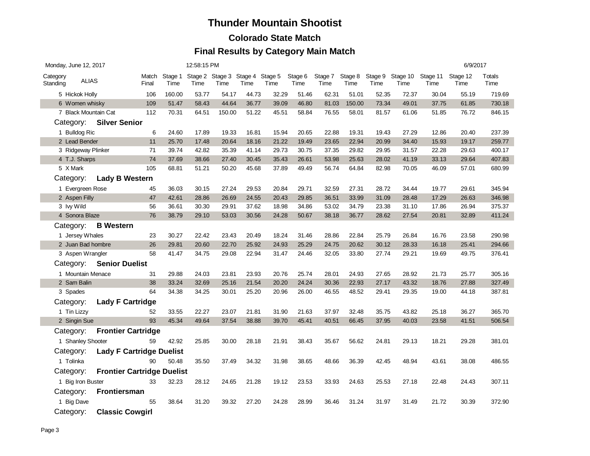#### **Colorado State Match**

|                      | Monday, June 12, 2017 |                                   |                |        | 12:58:15 PM                                     |        |       |       |                 |                 |                 |                 |                  |                  | 6/9/2017         |                |
|----------------------|-----------------------|-----------------------------------|----------------|--------|-------------------------------------------------|--------|-------|-------|-----------------|-----------------|-----------------|-----------------|------------------|------------------|------------------|----------------|
| Category<br>Standing | <b>ALIAS</b>          |                                   | Match<br>Final | Time   | Stage 1 Stage 2 Stage 3 Stage 4 Stage 5<br>Time | Time   | Time  | Time  | Stage 6<br>Time | Stage 7<br>Time | Stage 8<br>Time | Stage 9<br>Time | Stage 10<br>Time | Stage 11<br>Time | Stage 12<br>Time | Totals<br>Time |
|                      | 5 Hickok Holly        |                                   | 106            | 160.00 | 53.77                                           | 54.17  | 44.73 | 32.29 | 51.46           | 62.31           | 51.01           | 52.35           | 72.37            | 30.04            | 55.19            | 719.69         |
|                      | 6 Women whisky        |                                   | 109            | 51.47  | 58.43                                           | 44.64  | 36.77 | 39.09 | 46.80           | 81.03           | 150.00          | 73.34           | 49.01            | 37.75            | 61.85            | 730.18         |
|                      | 7 Black Mountain Cat  |                                   | 112            | 70.31  | 64.51                                           | 150.00 | 51.22 | 45.51 | 58.84           | 76.55           | 58.01           | 81.57           | 61.06            | 51.85            | 76.72            | 846.15         |
|                      | Category:             | <b>Silver Senior</b>              |                |        |                                                 |        |       |       |                 |                 |                 |                 |                  |                  |                  |                |
|                      | 1 Bulldog Ric         |                                   | 6              | 24.60  | 17.89                                           | 19.33  | 16.81 | 15.94 | 20.65           | 22.88           | 19.31           | 19.43           | 27.29            | 12.86            | 20.40            | 237.39         |
|                      | 2 Lead Bender         |                                   | 11             | 25.70  | 17.48                                           | 20.64  | 18.16 | 21.22 | 19.49           | 23.65           | 22.94           | 20.99           | 34.40            | 15.93            | 19.17            | 259.77         |
|                      | 3 Ridgeway Plinker    |                                   | 71             | 39.74  | 42.82                                           | 35.39  | 41.14 | 29.73 | 30.75           | 37.35           | 29.82           | 29.95           | 31.57            | 22.28            | 29.63            | 400.17         |
|                      | 4 T.J. Sharps         |                                   | 74             | 37.69  | 38.66                                           | 27.40  | 30.45 | 35.43 | 26.61           | 53.98           | 25.63           | 28.02           | 41.19            | 33.13            | 29.64            | 407.83         |
|                      | 5 X Mark              |                                   | 105            | 68.81  | 51.21                                           | 50.20  | 45.68 | 37.89 | 49.49           | 56.74           | 64.84           | 82.98           | 70.05            | 46.09            | 57.01            | 680.99         |
|                      | Category:             | <b>Lady B Western</b>             |                |        |                                                 |        |       |       |                 |                 |                 |                 |                  |                  |                  |                |
|                      | 1 Evergreen Rose      |                                   | 45             | 36.03  | 30.15                                           | 27.24  | 29.53 | 20.84 | 29.71           | 32.59           | 27.31           | 28.72           | 34.44            | 19.77            | 29.61            | 345.94         |
|                      | 2 Aspen Filly         |                                   | 47             | 42.61  | 28.86                                           | 26.69  | 24.55 | 20.43 | 29.85           | 36.51           | 33.99           | 31.09           | 28.48            | 17.29            | 26.63            | 346.98         |
|                      | 3 Ivy Wild            |                                   | 56             | 36.61  | 30.30                                           | 29.91  | 37.62 | 18.98 | 34.86           | 53.02           | 34.79           | 23.38           | 31.10            | 17.86            | 26.94            | 375.37         |
|                      | 4 Sonora Blaze        |                                   | 76             | 38.79  | 29.10                                           | 53.03  | 30.56 | 24.28 | 50.67           | 38.18           | 36.77           | 28.62           | 27.54            | 20.81            | 32.89            | 411.24         |
|                      | Category:             | <b>B</b> Western                  |                |        |                                                 |        |       |       |                 |                 |                 |                 |                  |                  |                  |                |
|                      | 1 Jersey Whales       |                                   | 23             | 30.27  | 22.42                                           | 23.43  | 20.49 | 18.24 | 31.46           | 28.86           | 22.84           | 25.79           | 26.84            | 16.76            | 23.58            | 290.98         |
| 2 Juan Bad hombre    |                       |                                   | 26             | 29.81  | 20.60                                           | 22.70  | 25.92 | 24.93 | 25.29           | 24.75           | 20.62           | 30.12           | 28.33            | 16.18            | 25.41            | 294.66         |
|                      | 3 Aspen Wrangler      |                                   | 58             | 41.47  | 34.75                                           | 29.08  | 22.94 | 31.47 | 24.46           | 32.05           | 33.80           | 27.74           | 29.21            | 19.69            | 49.75            | 376.41         |
|                      | Category:             | <b>Senior Duelist</b>             |                |        |                                                 |        |       |       |                 |                 |                 |                 |                  |                  |                  |                |
|                      | 1 Mountain Menace     |                                   | 31             | 29.88  | 24.03                                           | 23.81  | 23.93 | 20.76 | 25.74           | 28.01           | 24.93           | 27.65           | 28.92            | 21.73            | 25.77            | 305.16         |
|                      | 2 Sam Balin           |                                   | 38             | 33.24  | 32.69                                           | 25.16  | 21.54 | 20.20 | 24.24           | 30.36           | 22.93           | 27.17           | 43.32            | 18.76            | 27.88            | 327.49         |
|                      | 3 Spades              |                                   | 64             | 34.38  | 34.25                                           | 30.01  | 25.20 | 20.96 | 26.00           | 46.55           | 48.52           | 29.41           | 29.35            | 19.00            | 44.18            | 387.81         |
|                      | Category:             | <b>Lady F Cartridge</b>           |                |        |                                                 |        |       |       |                 |                 |                 |                 |                  |                  |                  |                |
|                      | 1 Tin Lizzy           |                                   | 52             | 33.55  | 22.27                                           | 23.07  | 21.81 | 31.90 | 21.63           | 37.97           | 32.48           | 35.75           | 43.82            | 25.18            | 36.27            | 365.70         |
|                      | 2 Singin Sue          |                                   | 93             | 45.34  | 49.64                                           | 37.54  | 38.88 | 39.70 | 45.41           | 40.51           | 66.45           | 37.95           | 40.03            | 23.58            | 41.51            | 506.54         |
|                      | Category:             | <b>Frontier Cartridge</b>         |                |        |                                                 |        |       |       |                 |                 |                 |                 |                  |                  |                  |                |
|                      | 1 Shanley Shooter     |                                   | 59             | 42.92  | 25.85                                           | 30.00  | 28.18 | 21.91 | 38.43           | 35.67           | 56.62           | 24.81           | 29.13            | 18.21            | 29.28            | 381.01         |
|                      | Category:             | <b>Lady F Cartridge Duelist</b>   |                |        |                                                 |        |       |       |                 |                 |                 |                 |                  |                  |                  |                |
|                      | 1 Tolinka             |                                   | 90             | 50.48  | 35.50                                           | 37.49  | 34.32 | 31.98 | 38.65           | 48.66           | 36.39           | 42.45           | 48.94            | 43.61            | 38.08            | 486.55         |
|                      | Category:             | <b>Frontier Cartridge Duelist</b> |                |        |                                                 |        |       |       |                 |                 |                 |                 |                  |                  |                  |                |
|                      | 1 Big Iron Buster     |                                   | 33             | 32.23  | 28.12                                           | 24.65  | 21.28 | 19.12 | 23.53           | 33.93           | 24.63           | 25.53           | 27.18            | 22.48            | 24.43            | 307.11         |
|                      | Category:             | <b>Frontiersman</b>               |                |        |                                                 |        |       |       |                 |                 |                 |                 |                  |                  |                  |                |
|                      | 1 Big Dave            |                                   | 55             | 38.64  | 31.20                                           | 39.32  | 27.20 | 24.28 | 28.99           | 36.46           | 31.24           | 31.97           | 31.49            | 21.72            | 30.39            | 372.90         |
|                      | Category:             | <b>Classic Cowgirl</b>            |                |        |                                                 |        |       |       |                 |                 |                 |                 |                  |                  |                  |                |
|                      |                       |                                   |                |        |                                                 |        |       |       |                 |                 |                 |                 |                  |                  |                  |                |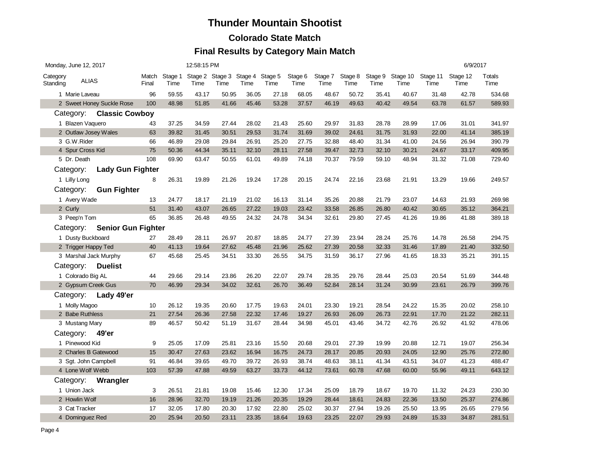### **Colorado State Match**

| Monday, June 12, 2017 |                           |                | 12:58:15 PM     |       |       |                                         |       |                 |                 |                 |                 |                  | 6/9/2017         |                  |                |
|-----------------------|---------------------------|----------------|-----------------|-------|-------|-----------------------------------------|-------|-----------------|-----------------|-----------------|-----------------|------------------|------------------|------------------|----------------|
| Category<br>Standing  | <b>ALIAS</b>              | Match<br>Final | Stage 1<br>Time | Time  | Time  | Stage 2 Stage 3 Stage 4 Stage 5<br>Time | Time  | Stage 6<br>Time | Stage 7<br>Time | Stage 8<br>Time | Stage 9<br>Time | Stage 10<br>Time | Stage 11<br>Time | Stage 12<br>Time | Totals<br>Time |
| 1 Marie Laveau        |                           | 96             | 59.55           | 43.17 | 50.95 | 36.05                                   | 27.18 | 68.05           | 48.67           | 50.72           | 35.41           | 40.67            | 31.48            | 42.78            | 534.68         |
|                       | 2 Sweet Honey Suckle Rose | 100            | 48.98           | 51.85 | 41.66 | 45.46                                   | 53.28 | 37.57           | 46.19           | 49.63           | 40.42           | 49.54            | 63.78            | 61.57            | 589.93         |
|                       | Category: Classic Cowboy  |                |                 |       |       |                                         |       |                 |                 |                 |                 |                  |                  |                  |                |
| 1 Blazen Vaquero      |                           | 43             | 37.25           | 34.59 | 27.44 | 28.02                                   | 21.43 | 25.60           | 29.97           | 31.83           | 28.78           | 28.99            | 17.06            | 31.01            | 341.97         |
|                       | 2 Outlaw Josey Wales      | 63             | 39.82           | 31.45 | 30.51 | 29.53                                   | 31.74 | 31.69           | 39.02           | 24.61           | 31.75           | 31.93            | 22.00            | 41.14            | 385.19         |
| 3 G.W.Rider           |                           | 66             | 46.89           | 29.08 | 29.84 | 26.91                                   | 25.20 | 27.75           | 32.88           | 48.40           | 31.34           | 41.00            | 24.56            | 26.94            | 390.79         |
| 4 Spur Cross Kid      |                           | 75             | 50.36           | 44.34 | 35.11 | 32.10                                   | 28.11 | 27.58           | 39.47           | 32.73           | 32.10           | 30.21            | 24.67            | 33.17            | 409.95         |
| 5 Dr. Death           |                           | 108            | 69.90           | 63.47 | 50.55 | 61.01                                   | 49.89 | 74.18           | 70.37           | 79.59           | 59.10           | 48.94            | 31.32            | 71.08            | 729.40         |
| Category:             | <b>Lady Gun Fighter</b>   |                |                 |       |       |                                         |       |                 |                 |                 |                 |                  |                  |                  |                |
| 1 Lilly Long          |                           | 8              | 26.31           | 19.89 | 21.26 | 19.24                                   | 17.28 | 20.15           | 24.74           | 22.16           | 23.68           | 21.91            | 13.29            | 19.66            | 249.57         |
| Category:             | <b>Gun Fighter</b>        |                |                 |       |       |                                         |       |                 |                 |                 |                 |                  |                  |                  |                |
| 1 Avery Wade          |                           | 13             | 24.77           | 18.17 | 21.19 | 21.02                                   | 16.13 | 31.14           | 35.26           | 20.88           | 21.79           | 23.07            | 14.63            | 21.93            | 269.98         |
| 2 Curly               |                           | 51             | 31.40           | 43.07 | 26.65 | 27.22                                   | 19.03 | 23.42           | 33.58           | 26.85           | 26.80           | 40.42            | 30.65            | 35.12            | 364.21         |
| 3 Peep'n Tom          |                           | 65             | 36.85           | 26.48 | 49.55 | 24.32                                   | 24.78 | 34.34           | 32.61           | 29.80           | 27.45           | 41.26            | 19.86            | 41.88            | 389.18         |
| Category:             | <b>Senior Gun Fighter</b> |                |                 |       |       |                                         |       |                 |                 |                 |                 |                  |                  |                  |                |
| 1 Dusty Buckboard     |                           | 27             | 28.49           | 28.11 | 26.97 | 20.87                                   | 18.85 | 24.77           | 27.39           | 23.94           | 28.24           | 25.76            | 14.78            | 26.58            | 294.75         |
| 2 Trigger Happy Ted   |                           | 40             | 41.13           | 19.64 | 27.62 | 45.48                                   | 21.96 | 25.62           | 27.39           | 20.58           | 32.33           | 31.46            | 17.89            | 21.40            | 332.50         |
|                       | 3 Marshal Jack Murphy     | 67             | 45.68           | 25.45 | 34.51 | 33.30                                   | 26.55 | 34.75           | 31.59           | 36.17           | 27.96           | 41.65            | 18.33            | 35.21            | 391.15         |
| Category:             | <b>Duelist</b>            |                |                 |       |       |                                         |       |                 |                 |                 |                 |                  |                  |                  |                |
| 1 Colorado Big AL     |                           | 44             | 29.66           | 29.14 | 23.86 | 26.20                                   | 22.07 | 29.74           | 28.35           | 29.76           | 28.44           | 25.03            | 20.54            | 51.69            | 344.48         |
| 2 Gypsum Creek Gus    |                           | 70             | 46.99           | 29.34 | 34.02 | 32.61                                   | 26.70 | 36.49           | 52.84           | 28.14           | 31.24           | 30.99            | 23.61            | 26.79            | 399.76         |
|                       | Category: Lady 49'er      |                |                 |       |       |                                         |       |                 |                 |                 |                 |                  |                  |                  |                |
| 1 Molly Magoo         |                           | 10             | 26.12           | 19.35 | 20.60 | 17.75                                   | 19.63 | 24.01           | 23.30           | 19.21           | 28.54           | 24.22            | 15.35            | 20.02            | 258.10         |
| 2 Babe Ruthless       |                           | 21             | 27.54           | 26.36 | 27.58 | 22.32                                   | 17.46 | 19.27           | 26.93           | 26.09           | 26.73           | 22.91            | 17.70            | 21.22            | 282.11         |
| 3 Mustang Mary        |                           | 89             | 46.57           | 50.42 | 51.19 | 31.67                                   | 28.44 | 34.98           | 45.01           | 43.46           | 34.72           | 42.76            | 26.92            | 41.92            | 478.06         |
| Category:             | 49'er                     |                |                 |       |       |                                         |       |                 |                 |                 |                 |                  |                  |                  |                |
| 1 Pinewood Kid        |                           | 9              | 25.05           | 17.09 | 25.81 | 23.16                                   | 15.50 | 20.68           | 29.01           | 27.39           | 19.99           | 20.88            | 12.71            | 19.07            | 256.34         |
|                       | 2 Charles B Gatewood      | 15             | 30.47           | 27.63 | 23.62 | 16.94                                   | 16.75 | 24.73           | 28.17           | 20.85           | 20.93           | 24.05            | 12.90            | 25.76            | 272.80         |
| 3 Sqt. John Campbell  |                           | 91             | 46.84           | 39.65 | 49.70 | 39.72                                   | 26.93 | 38.74           | 48.63           | 38.11           | 41.34           | 43.51            | 34.07            | 41.23            | 488.47         |
| 4 Lone Wolf Webb      |                           | 103            | 57.39           | 47.88 | 49.59 | 63.27                                   | 33.73 | 44.12           | 73.61           | 60.78           | 47.68           | 60.00            | 55.96            | 49.11            | 643.12         |
| Category:             | Wrangler                  |                |                 |       |       |                                         |       |                 |                 |                 |                 |                  |                  |                  |                |
| 1 Union Jack          |                           | 3              | 26.51           | 21.81 | 19.08 | 15.46                                   | 12.30 | 17.34           | 25.09           | 18.79           | 18.67           | 19.70            | 11.32            | 24.23            | 230.30         |
| 2 Howlin Wolf         |                           | 16             | 28.96           | 32.70 | 19.19 | 21.26                                   | 20.35 | 19.29           | 28.44           | 18.61           | 24.83           | 22.36            | 13.50            | 25.37            | 274.86         |
| 3 Cat Tracker         |                           | 17             | 32.05           | 17.80 | 20.30 | 17.92                                   | 22.80 | 25.02           | 30.37           | 27.94           | 19.26           | 25.50            | 13.95            | 26.65            | 279.56         |
| 4 Dominguez Red       |                           | 20             | 25.94           | 20.50 | 23.11 | 23.35                                   | 18.64 | 19.63           | 23.25           | 22.07           | 29.93           | 24.89            | 15.33            | 34.87            | 281.51         |